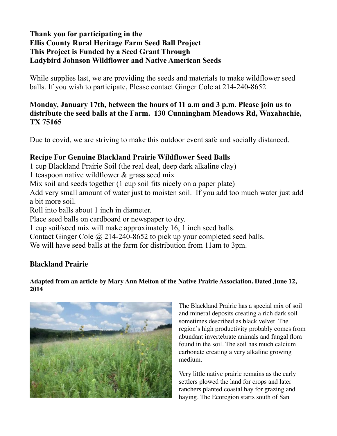## **Thank you for participating in the Ellis County Rural Heritage Farm Seed Ball Project This Project is Funded by a Seed Grant Through Ladybird Johnson Wildflower and Native American Seeds**

While supplies last, we are providing the seeds and materials to make wildflower seed balls. If you wish to participate, Please contact Ginger Cole at 214-240-8652.

# **Monday, January 17th, between the hours of 11 a.m and 3 p.m. Please join us to distribute the seed balls at the Farm. 130 Cunningham Meadows Rd, Waxahachie, TX 75165**

Due to covid, we are striving to make this outdoor event safe and socially distanced.

## **Recipe For Genuine Blackland Prairie Wildflower Seed Balls**

1 cup Blackland Prairie Soil (the real deal, deep dark alkaline clay)

1 teaspoon native wildflower & grass seed mix

Mix soil and seeds together (1 cup soil fits nicely on a paper plate)

Add very small amount of water just to moisten soil. If you add too much water just add a bit more soil.

Roll into balls about 1 inch in diameter.

Place seed balls on cardboard or newspaper to dry.

1 cup soil/seed mix will make approximately 16, 1 inch seed balls.

Contact Ginger Cole  $\omega$  214-240-8652 to pick up your completed seed balls.

We will have seed balls at the farm for distribution from 11am to 3pm.

# **Blackland Prairie**

#### **Adapted from an article by Mary Ann Melton of the Native Prairie Association. Dated June 12, 2014**



The Blackland Prairie has a special mix of soil and mineral deposits creating a rich dark soil sometimes described as black velvet. The region's high productivity probably comes from abundant invertebrate animals and fungal flora found in the soil. The soil has much calcium carbonate creating a very alkaline growing medium.

Very little native prairie remains as the early settlers plowed the land for crops and later ranchers planted coastal hay for grazing and haying. The Ecoregion starts south of San